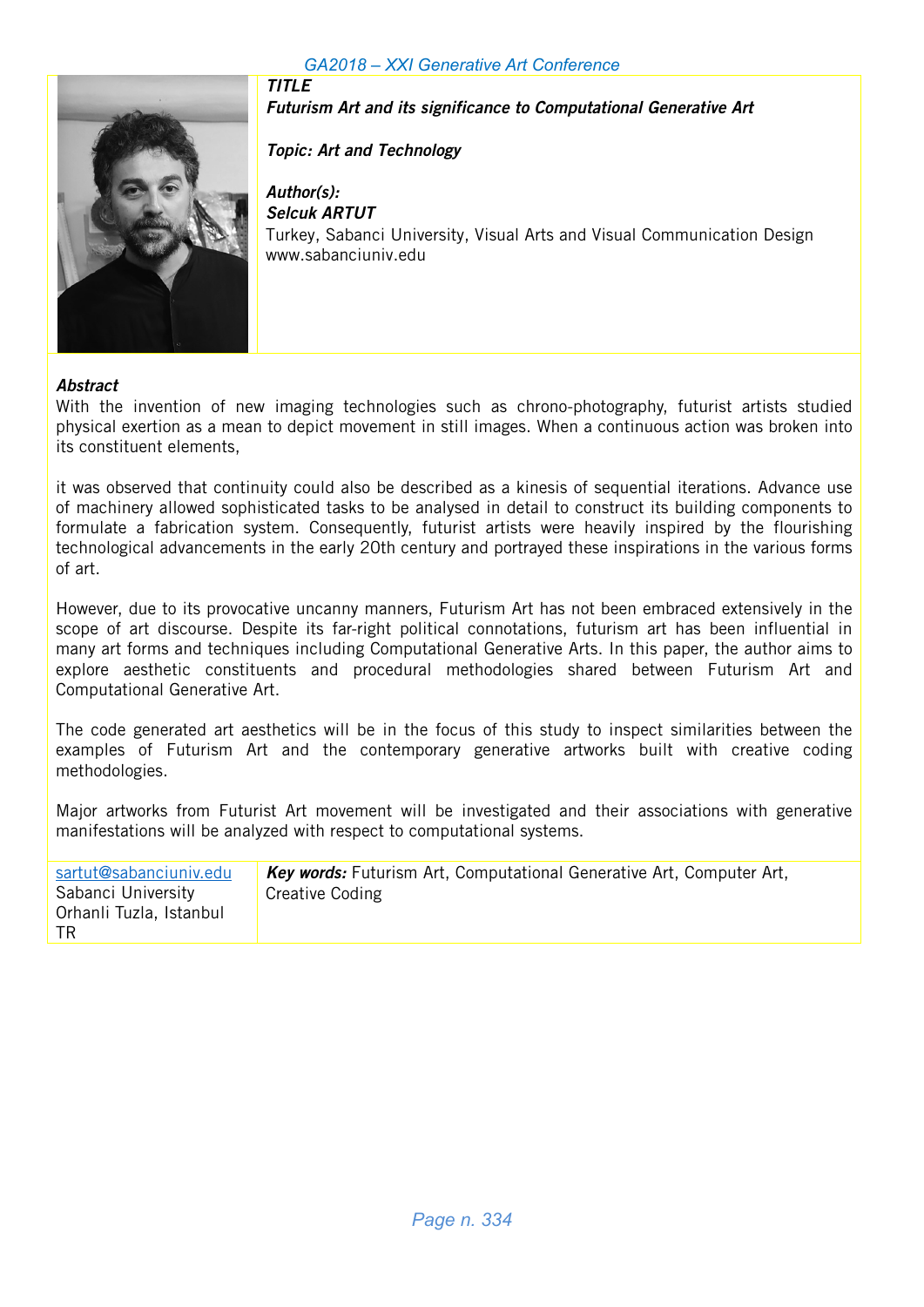

Futurism Art and its significance to Computational Generative Art

Topic: Art and Technology

TITLE

Author(s): Selcuk ARTUT Turkey, Sabanci University, Visual Arts and Visual Communication Design www.sabanciuniv.edu

### **Abstract**

With the invention of new imaging technologies such as chrono-photography, futurist artists studied physical exertion as a mean to depict movement in still images. When a continuous action was broken into its constituent elements,

it was observed that continuity could also be described as a kinesis of sequential iterations. Advance use of machinery allowed sophisticated tasks to be analysed in detail to construct its building components to formulate a fabrication system. Consequently, futurist artists were heavily inspired by the flourishing technological advancements in the early 20th century and portrayed these inspirations in the various forms of art.

However, due to its provocative uncanny manners, Futurism Art has not been embraced extensively in the scope of art discourse. Despite its far-right political connotations, futurism art has been influential in many art forms and techniques including Computational Generative Arts. In this paper, the author aims to explore aesthetic constituents and procedural methodologies shared between Futurism Art and Computational Generative Art.

The code generated art aesthetics will be in the focus of this study to inspect similarities between the examples of Futurism Art and the contemporary generative artworks built with creative coding methodologies.

Major artworks from Futurist Art movement will be investigated and their associations with generative manifestations will be analyzed with respect to computational systems.

| sartut@sabanciuniv.edu<br>Sabanci University<br>Orhanli Tuzla, Istanbul<br>-TR | <b>Key words:</b> Futurism Art, Computational Generative Art, Computer Art,<br>Creative Coding |
|--------------------------------------------------------------------------------|------------------------------------------------------------------------------------------------|
|                                                                                |                                                                                                |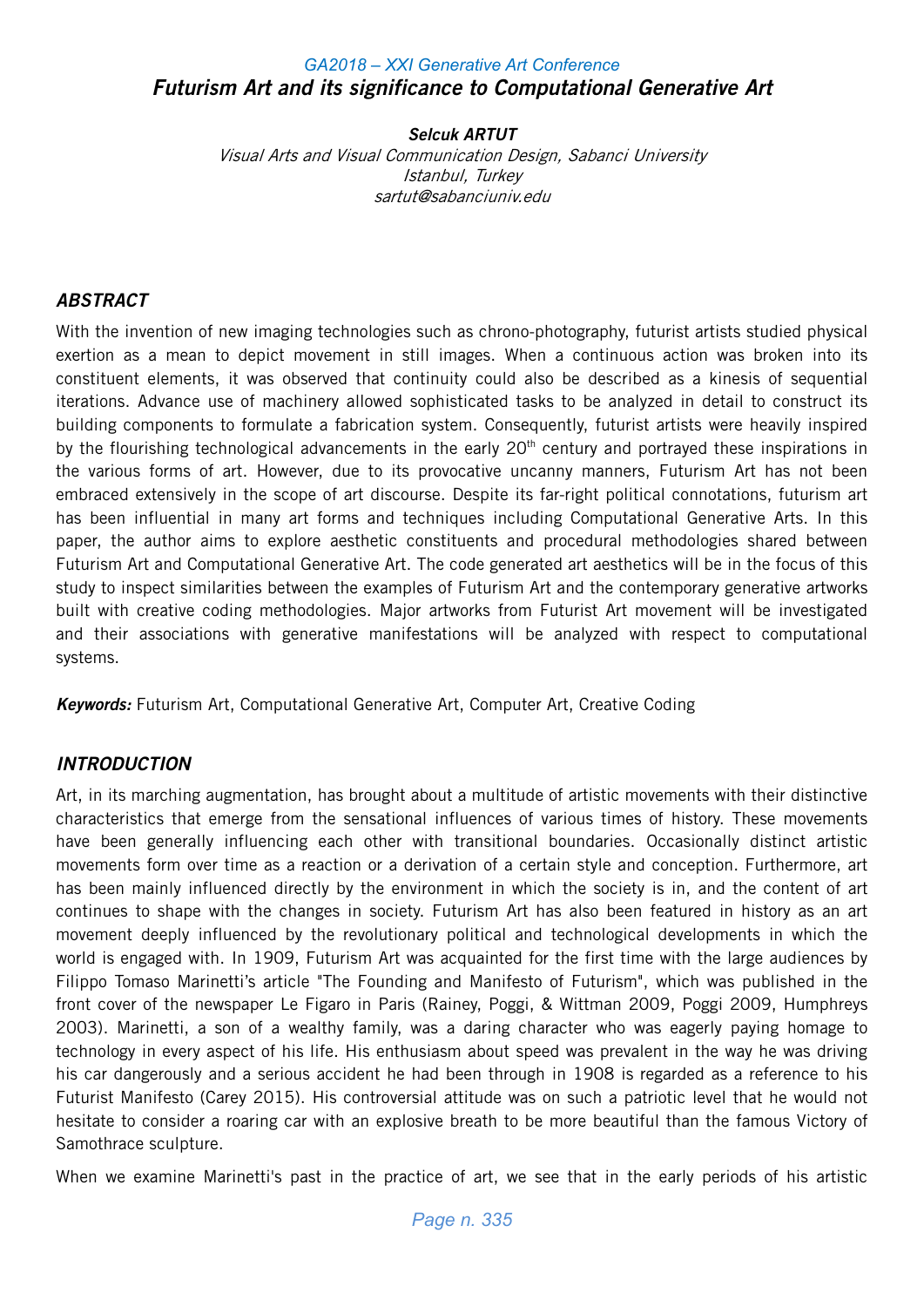# *GA2018 – XXI Generative Art Conference* Futurism Art and its significance to Computational Generative Art

### Selcuk ARTUT

Visual Arts and Visual Communication Design, Sabanci University Istanbul, Turkey sartut@sabanciuniv.edu

# **ABSTRACT**

With the invention of new imaging technologies such as chrono-photography, futurist artists studied physical exertion as a mean to depict movement in still images. When a continuous action was broken into its constituent elements, it was observed that continuity could also be described as a kinesis of sequential iterations. Advance use of machinery allowed sophisticated tasks to be analyzed in detail to construct its building components to formulate a fabrication system. Consequently, futurist artists were heavily inspired by the flourishing technological advancements in the early 20<sup>th</sup> century and portrayed these inspirations in the various forms of art. However, due to its provocative uncanny manners, Futurism Art has not been embraced extensively in the scope of art discourse. Despite its far-right political connotations, futurism art has been influential in many art forms and techniques including Computational Generative Arts. In this paper, the author aims to explore aesthetic constituents and procedural methodologies shared between Futurism Art and Computational Generative Art. The code generated art aesthetics will be in the focus of this study to inspect similarities between the examples of Futurism Art and the contemporary generative artworks built with creative coding methodologies. Major artworks from Futurist Art movement will be investigated and their associations with generative manifestations will be analyzed with respect to computational systems.

**Keywords:** Futurism Art, Computational Generative Art, Computer Art, Creative Coding

# **INTRODUCTION**

Art, in its marching augmentation, has brought about a multitude of artistic movements with their distinctive characteristics that emerge from the sensational influences of various times of history. These movements have been generally influencing each other with transitional boundaries. Occasionally distinct artistic movements form over time as a reaction or a derivation of a certain style and conception. Furthermore, art has been mainly influenced directly by the environment in which the society is in, and the content of art continues to shape with the changes in society. Futurism Art has also been featured in history as an art movement deeply influenced by the revolutionary political and technological developments in which the world is engaged with. In 1909, Futurism Art was acquainted for the first time with the large audiences by Filippo Tomaso Marinetti's article "The Founding and Manifesto of Futurism", which was published in the front cover of the newspaper Le Figaro in Paris (Rainey, Poggi, & Wittman 2009, Poggi 2009, Humphreys 2003). Marinetti, a son of a wealthy family, was a daring character who was eagerly paying homage to technology in every aspect of his life. His enthusiasm about speed was prevalent in the way he was driving his car dangerously and a serious accident he had been through in 1908 is regarded as a reference to his Futurist Manifesto (Carey 2015). His controversial attitude was on such a patriotic level that he would not hesitate to consider a roaring car with an explosive breath to be more beautiful than the famous Victory of Samothrace sculpture.

When we examine Marinetti's past in the practice of art, we see that in the early periods of his artistic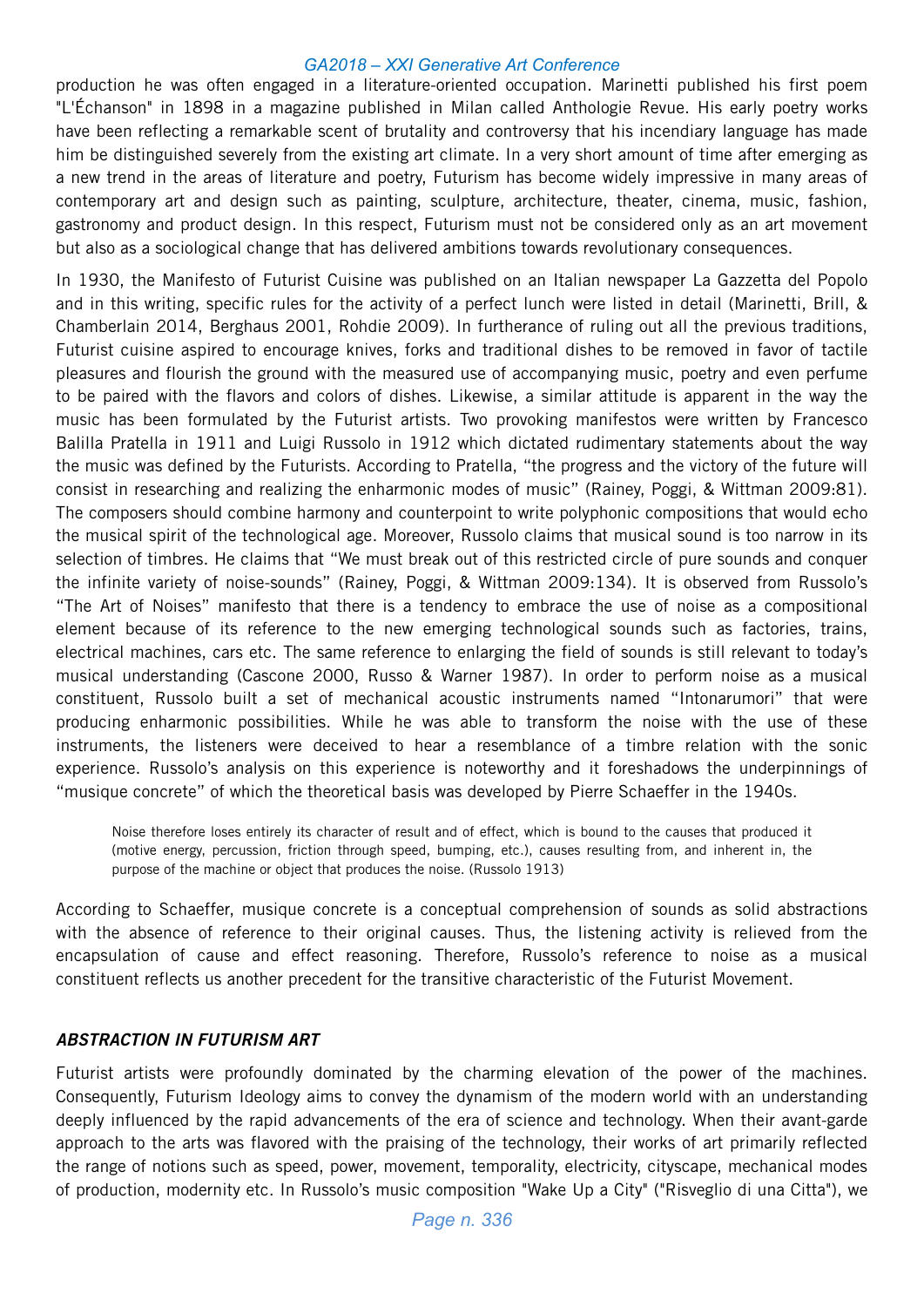production he was often engaged in a literature-oriented occupation. Marinetti published his first poem "L'Échanson" in 1898 in a magazine published in Milan called Anthologie Revue. His early poetry works have been reflecting a remarkable scent of brutality and controversy that his incendiary language has made him be distinguished severely from the existing art climate. In a very short amount of time after emerging as a new trend in the areas of literature and poetry, Futurism has become widely impressive in many areas of contemporary art and design such as painting, sculpture, architecture, theater, cinema, music, fashion, gastronomy and product design. In this respect, Futurism must not be considered only as an art movement but also as a sociological change that has delivered ambitions towards revolutionary consequences.

In 1930, the Manifesto of Futurist Cuisine was published on an Italian newspaper La Gazzetta del Popolo and in this writing, specific rules for the activity of a perfect lunch were listed in detail (Marinetti, Brill, & Chamberlain 2014, Berghaus 2001, Rohdie 2009). In furtherance of ruling out all the previous traditions, Futurist cuisine aspired to encourage knives, forks and traditional dishes to be removed in favor of tactile pleasures and flourish the ground with the measured use of accompanying music, poetry and even perfume to be paired with the flavors and colors of dishes. Likewise, a similar attitude is apparent in the way the music has been formulated by the Futurist artists. Two provoking manifestos were written by Francesco Balilla Pratella in 1911 and Luigi Russolo in 1912 which dictated rudimentary statements about the way the music was defined by the Futurists. According to Pratella, "the progress and the victory of the future will consist in researching and realizing the enharmonic modes of music" (Rainey, Poggi, & Wittman 2009:81). The composers should combine harmony and counterpoint to write polyphonic compositions that would echo the musical spirit of the technological age. Moreover, Russolo claims that musical sound is too narrow in its selection of timbres. He claims that "We must break out of this restricted circle of pure sounds and conquer the infinite variety of noise-sounds" (Rainey, Poggi, & Wittman 2009:134). It is observed from Russolo's "The Art of Noises" manifesto that there is a tendency to embrace the use of noise as a compositional element because of its reference to the new emerging technological sounds such as factories, trains, electrical machines, cars etc. The same reference to enlarging the field of sounds is still relevant to today's musical understanding (Cascone 2000, Russo & Warner 1987). In order to perform noise as a musical constituent, Russolo built a set of mechanical acoustic instruments named "Intonarumori" that were producing enharmonic possibilities. While he was able to transform the noise with the use of these instruments, the listeners were deceived to hear a resemblance of a timbre relation with the sonic experience. Russolo's analysis on this experience is noteworthy and it foreshadows the underpinnings of "musique concrete" of which the theoretical basis was developed by Pierre Schaeffer in the 1940s.

Noise therefore loses entirely its character of result and of effect, which is bound to the causes that produced it (motive energy, percussion, friction through speed, bumping, etc.), causes resulting from, and inherent in, the purpose of the machine or object that produces the noise. (Russolo 1913)

According to Schaeffer, musique concrete is a conceptual comprehension of sounds as solid abstractions with the absence of reference to their original causes. Thus, the listening activity is relieved from the encapsulation of cause and effect reasoning. Therefore, Russolo's reference to noise as a musical constituent reflects us another precedent for the transitive characteristic of the Futurist Movement.

# ABSTRACTION IN FUTURISM ART

Futurist artists were profoundly dominated by the charming elevation of the power of the machines. Consequently, Futurism Ideology aims to convey the dynamism of the modern world with an understanding deeply influenced by the rapid advancements of the era of science and technology. When their avant-garde approach to the arts was flavored with the praising of the technology, their works of art primarily reflected the range of notions such as speed, power, movement, temporality, electricity, cityscape, mechanical modes of production, modernity etc. In Russolo's music composition "Wake Up a City" ("Risveglio di una Citta"), we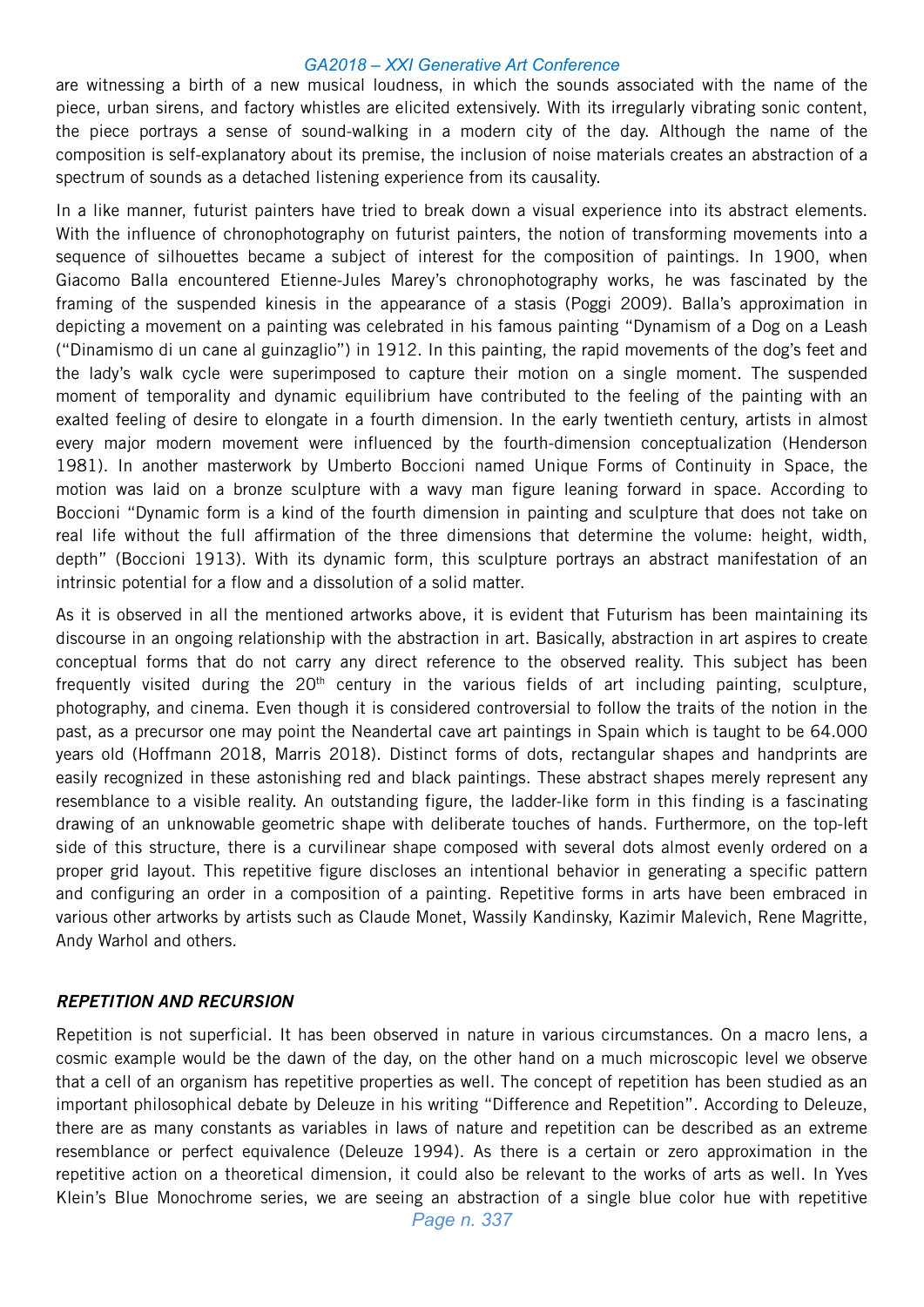are witnessing a birth of a new musical loudness, in which the sounds associated with the name of the piece, urban sirens, and factory whistles are elicited extensively. With its irregularly vibrating sonic content, the piece portrays a sense of sound-walking in a modern city of the day. Although the name of the composition is self-explanatory about its premise, the inclusion of noise materials creates an abstraction of a spectrum of sounds as a detached listening experience from its causality.

In a like manner, futurist painters have tried to break down a visual experience into its abstract elements. With the influence of chronophotography on futurist painters, the notion of transforming movements into a sequence of silhouettes became a subject of interest for the composition of paintings. In 1900, when Giacomo Balla encountered Etienne-Jules Marey's chronophotography works, he was fascinated by the framing of the suspended kinesis in the appearance of a stasis (Poggi 2009). Balla's approximation in depicting a movement on a painting was celebrated in his famous painting "Dynamism of a Dog on a Leash ("Dinamismo di un cane al guinzaglio") in 1912. In this painting, the rapid movements of the dog's feet and the lady's walk cycle were superimposed to capture their motion on a single moment. The suspended moment of temporality and dynamic equilibrium have contributed to the feeling of the painting with an exalted feeling of desire to elongate in a fourth dimension. In the early twentieth century, artists in almost every major modern movement were influenced by the fourth-dimension conceptualization (Henderson 1981). In another masterwork by Umberto Boccioni named Unique Forms of Continuity in Space, the motion was laid on a bronze sculpture with a wavy man figure leaning forward in space. According to Boccioni "Dynamic form is a kind of the fourth dimension in painting and sculpture that does not take on real life without the full affirmation of the three dimensions that determine the volume: height, width, depth" (Boccioni 1913). With its dynamic form, this sculpture portrays an abstract manifestation of an intrinsic potential for a flow and a dissolution of a solid matter.

As it is observed in all the mentioned artworks above, it is evident that Futurism has been maintaining its discourse in an ongoing relationship with the abstraction in art. Basically, abstraction in art aspires to create conceptual forms that do not carry any direct reference to the observed reality. This subject has been frequently visited during the 20<sup>th</sup> century in the various fields of art including painting, sculpture, photography, and cinema. Even though it is considered controversial to follow the traits of the notion in the past, as a precursor one may point the Neandertal cave art paintings in Spain which is taught to be 64.000 years old (Hoffmann 2018, Marris 2018). Distinct forms of dots, rectangular shapes and handprints are easily recognized in these astonishing red and black paintings. These abstract shapes merely represent any resemblance to a visible reality. An outstanding figure, the ladder-like form in this finding is a fascinating drawing of an unknowable geometric shape with deliberate touches of hands. Furthermore, on the top-left side of this structure, there is a curvilinear shape composed with several dots almost evenly ordered on a proper grid layout. This repetitive figure discloses an intentional behavior in generating a specific pattern and configuring an order in a composition of a painting. Repetitive forms in arts have been embraced in various other artworks by artists such as Claude Monet, Wassily Kandinsky, Kazimir Malevich, Rene Magritte, Andy Warhol and others.

### REPETITION AND RECURSION

Repetition is not superficial. It has been observed in nature in various circumstances. On a macro lens, a cosmic example would be the dawn of the day, on the other hand on a much microscopic level we observe that a cell of an organism has repetitive properties as well. The concept of repetition has been studied as an important philosophical debate by Deleuze in his writing "Difference and Repetition". According to Deleuze, there are as many constants as variables in laws of nature and repetition can be described as an extreme resemblance or perfect equivalence (Deleuze 1994). As there is a certain or zero approximation in the repetitive action on a theoretical dimension, it could also be relevant to the works of arts as well. In Yves Klein's Blue Monochrome series, we are seeing an abstraction of a single blue color hue with repetitive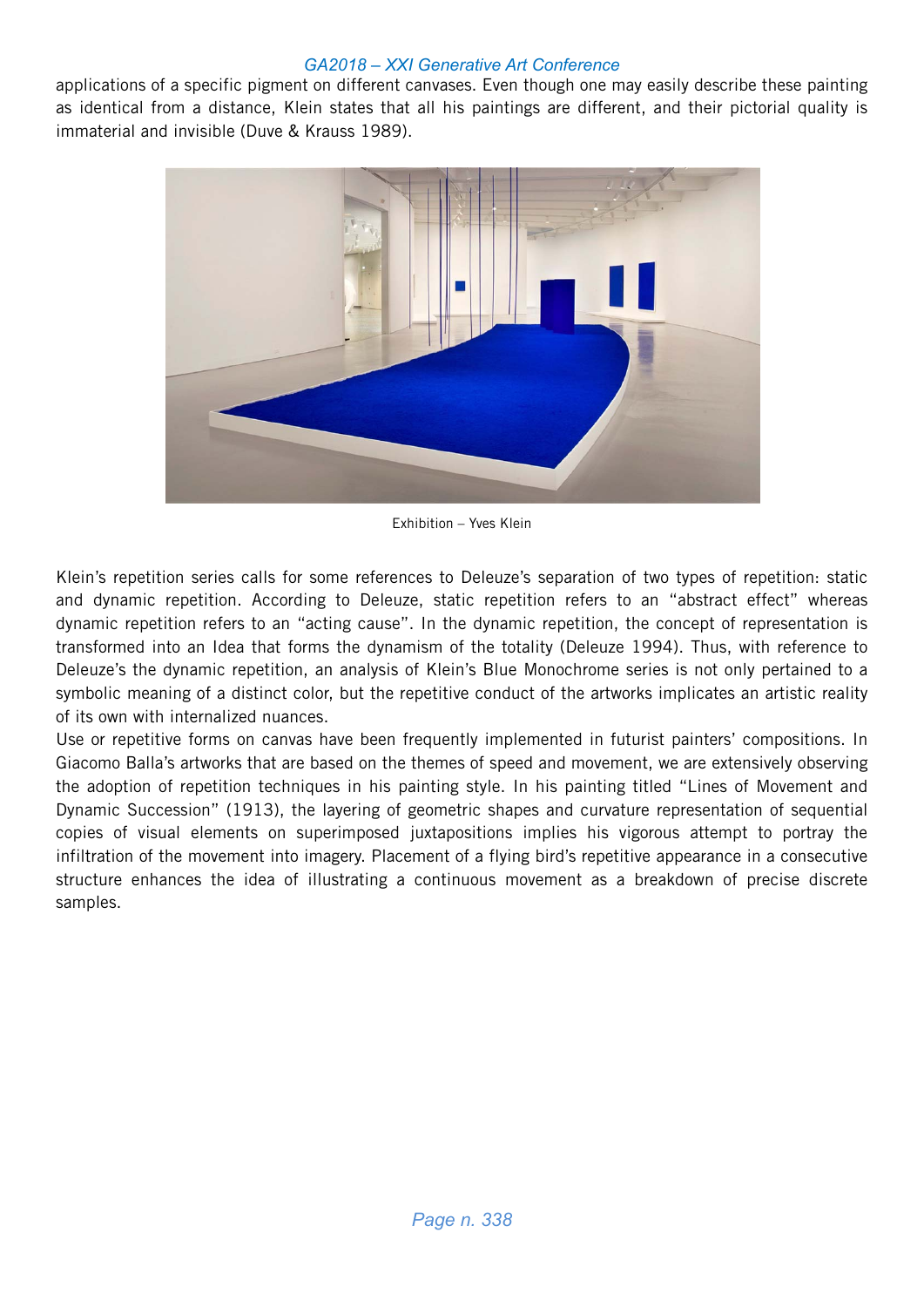applications of a specific pigment on different canvases. Even though one may easily describe these painting as identical from a distance, Klein states that all his paintings are different, and their pictorial quality is immaterial and invisible (Duve & Krauss 1989).



Exhibition – Yves Klein

Klein's repetition series calls for some references to Deleuze's separation of two types of repetition: static and dynamic repetition. According to Deleuze, static repetition refers to an "abstract effect" whereas dynamic repetition refers to an "acting cause". In the dynamic repetition, the concept of representation is transformed into an Idea that forms the dynamism of the totality (Deleuze 1994). Thus, with reference to Deleuze's the dynamic repetition, an analysis of Klein's Blue Monochrome series is not only pertained to a symbolic meaning of a distinct color, but the repetitive conduct of the artworks implicates an artistic reality of its own with internalized nuances.

Use or repetitive forms on canvas have been frequently implemented in futurist painters' compositions. In Giacomo Balla's artworks that are based on the themes of speed and movement, we are extensively observing the adoption of repetition techniques in his painting style. In his painting titled "Lines of Movement and Dynamic Succession" (1913), the layering of geometric shapes and curvature representation of sequential copies of visual elements on superimposed juxtapositions implies his vigorous attempt to portray the infiltration of the movement into imagery. Placement of a flying bird's repetitive appearance in a consecutive structure enhances the idea of illustrating a continuous movement as a breakdown of precise discrete samples.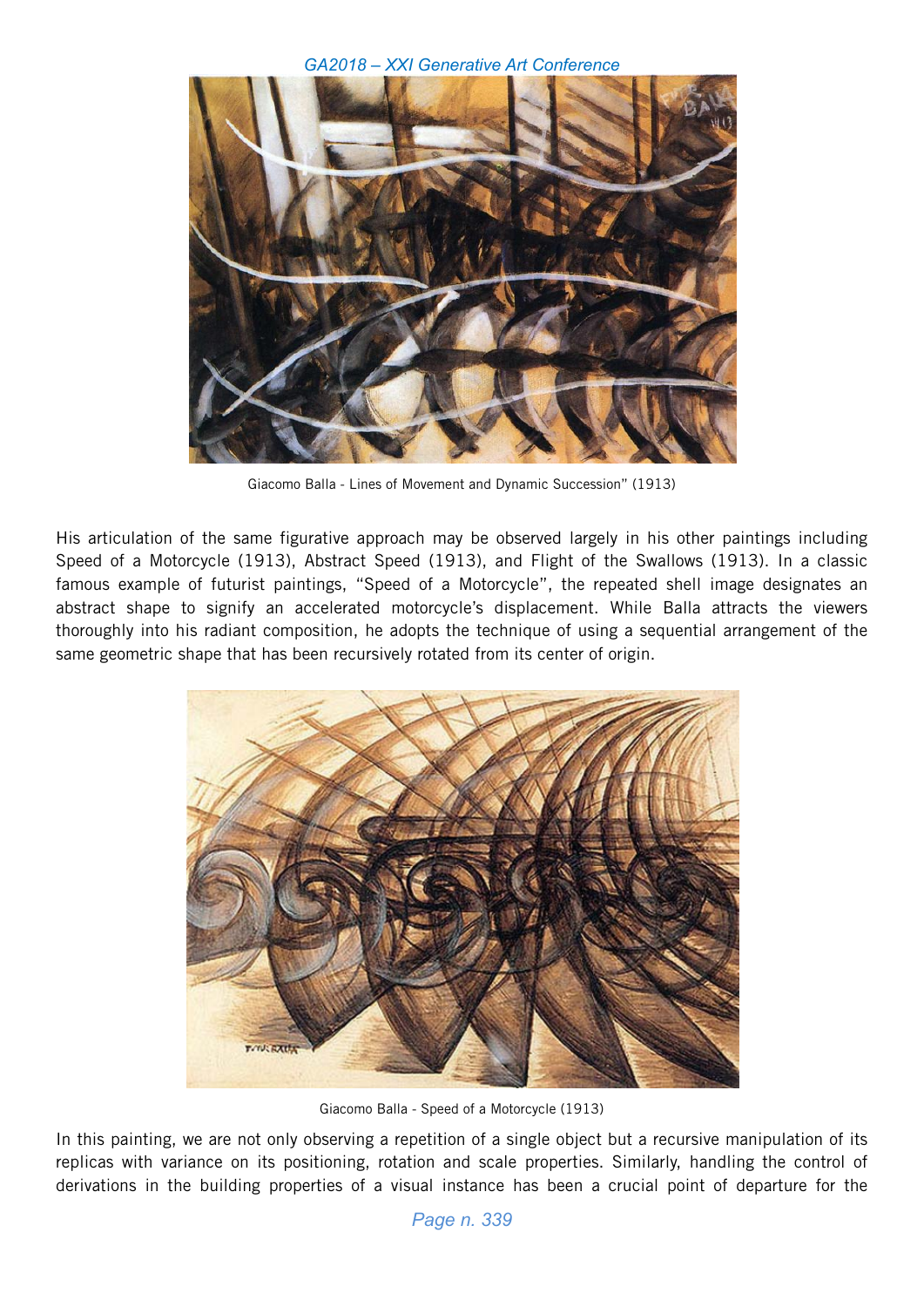

Giacomo Balla - Lines of Movement and Dynamic Succession" (1913)

His articulation of the same figurative approach may be observed largely in his other paintings including Speed of a Motorcycle (1913), Abstract Speed (1913), and Flight of the Swallows (1913). In a classic famous example of futurist paintings, "Speed of a Motorcycle", the repeated shell image designates an abstract shape to signify an accelerated motorcycle's displacement. While Balla attracts the viewers thoroughly into his radiant composition, he adopts the technique of using a sequential arrangement of the same geometric shape that has been recursively rotated from its center of origin.



Giacomo Balla - Speed of a Motorcycle (1913)

In this painting, we are not only observing a repetition of a single object but a recursive manipulation of its replicas with variance on its positioning, rotation and scale properties. Similarly, handling the control of derivations in the building properties of a visual instance has been a crucial point of departure for the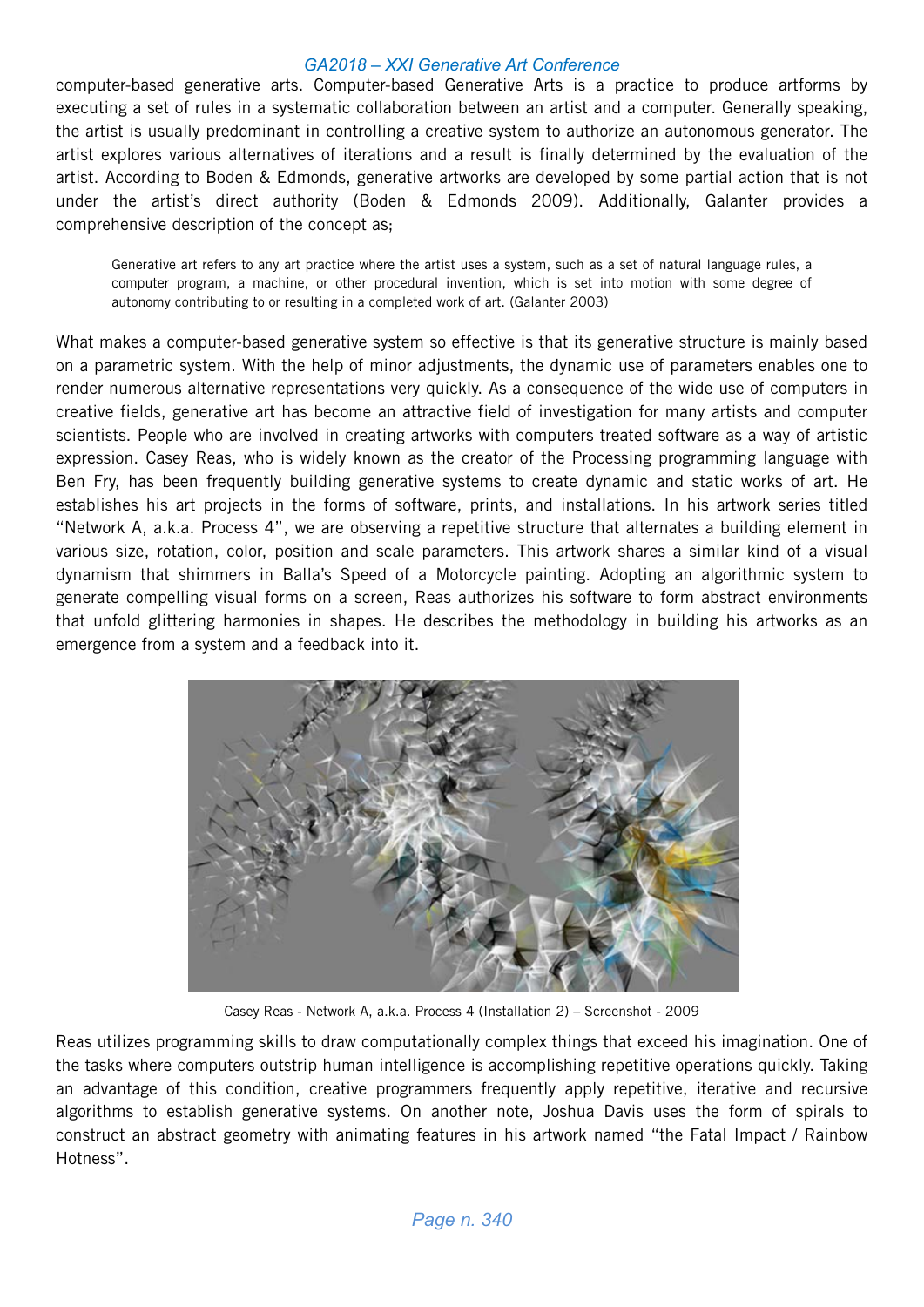computer-based generative arts. Computer-based Generative Arts is a practice to produce artforms by executing a set of rules in a systematic collaboration between an artist and a computer. Generally speaking, the artist is usually predominant in controlling a creative system to authorize an autonomous generator. The artist explores various alternatives of iterations and a result is finally determined by the evaluation of the artist. According to Boden & Edmonds, generative artworks are developed by some partial action that is not under the artist's direct authority (Boden & Edmonds 2009). Additionally, Galanter provides a comprehensive description of the concept as;

Generative art refers to any art practice where the artist uses a system, such as a set of natural language rules, a computer program, a machine, or other procedural invention, which is set into motion with some degree of autonomy contributing to or resulting in a completed work of art. (Galanter 2003)

What makes a computer-based generative system so effective is that its generative structure is mainly based on a parametric system. With the help of minor adjustments, the dynamic use of parameters enables one to render numerous alternative representations very quickly. As a consequence of the wide use of computers in creative fields, generative art has become an attractive field of investigation for many artists and computer scientists. People who are involved in creating artworks with computers treated software as a way of artistic expression. Casey Reas, who is widely known as the creator of the Processing programming language with Ben Fry, has been frequently building generative systems to create dynamic and static works of art. He establishes his art projects in the forms of software, prints, and installations. In his artwork series titled "Network A, a.k.a. Process 4", we are observing a repetitive structure that alternates a building element in various size, rotation, color, position and scale parameters. This artwork shares a similar kind of a visual dynamism that shimmers in Balla's Speed of a Motorcycle painting. Adopting an algorithmic system to generate compelling visual forms on a screen, Reas authorizes his software to form abstract environments that unfold glittering harmonies in shapes. He describes the methodology in building his artworks as an emergence from a system and a feedback into it.



Casey Reas - Network A, a.k.a. Process 4 (Installation 2) – Screenshot - 2009

Reas utilizes programming skills to draw computationally complex things that exceed his imagination. One of the tasks where computers outstrip human intelligence is accomplishing repetitive operations quickly. Taking an advantage of this condition, creative programmers frequently apply repetitive, iterative and recursive algorithms to establish generative systems. On another note, Joshua Davis uses the form of spirals to construct an abstract geometry with animating features in his artwork named "the Fatal Impact / Rainbow Hotness".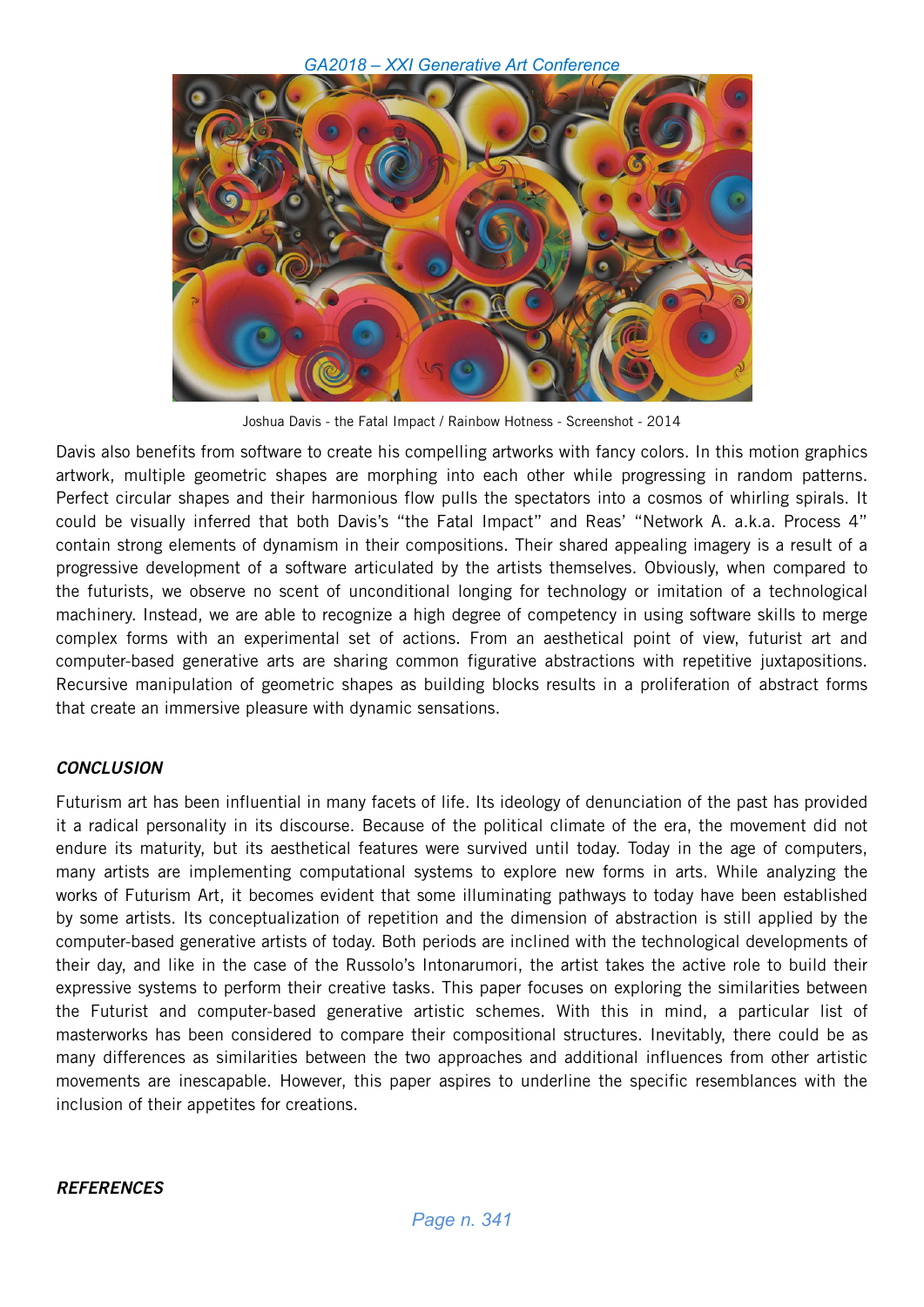

Joshua Davis - the Fatal Impact / Rainbow Hotness - Screenshot - 2014

Davis also benefits from software to create his compelling artworks with fancy colors. In this motion graphics artwork, multiple geometric shapes are morphing into each other while progressing in random patterns. Perfect circular shapes and their harmonious flow pulls the spectators into a cosmos of whirling spirals. It could be visually inferred that both Davis's "the Fatal Impact" and Reas' "Network A. a.k.a. Process 4" contain strong elements of dynamism in their compositions. Their shared appealing imagery is a result of a progressive development of a software articulated by the artists themselves. Obviously, when compared to the futurists, we observe no scent of unconditional longing for technology or imitation of a technological machinery. Instead, we are able to recognize a high degree of competency in using software skills to merge complex forms with an experimental set of actions. From an aesthetical point of view, futurist art and computer-based generative arts are sharing common figurative abstractions with repetitive juxtapositions. Recursive manipulation of geometric shapes as building blocks results in a proliferation of abstract forms that create an immersive pleasure with dynamic sensations.

# **CONCLUSION**

Futurism art has been influential in many facets of life. Its ideology of denunciation of the past has provided it a radical personality in its discourse. Because of the political climate of the era, the movement did not endure its maturity, but its aesthetical features were survived until today. Today in the age of computers, many artists are implementing computational systems to explore new forms in arts. While analyzing the works of Futurism Art, it becomes evident that some illuminating pathways to today have been established by some artists. Its conceptualization of repetition and the dimension of abstraction is still applied by the computer-based generative artists of today. Both periods are inclined with the technological developments of their day, and like in the case of the Russolo's Intonarumori, the artist takes the active role to build their expressive systems to perform their creative tasks. This paper focuses on exploring the similarities between the Futurist and computer-based generative artistic schemes. With this in mind, a particular list of masterworks has been considered to compare their compositional structures. Inevitably, there could be as many differences as similarities between the two approaches and additional influences from other artistic movements are inescapable. However, this paper aspires to underline the specific resemblances with the inclusion of their appetites for creations.

# **REFERENCES**